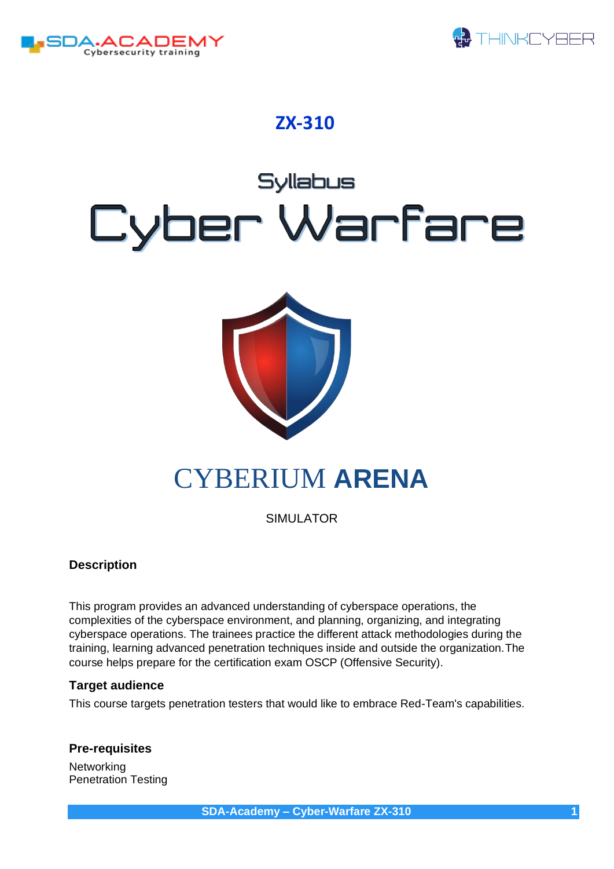



### **ZX-310**

# **Syllabus** Cyber Warfare



## CYBERIUM **ARENA**

SIMULATOR

#### **Description**

This program provides an advanced understanding of cyberspace operations, the complexities of the cyberspace environment, and planning, organizing, and integrating cyberspace operations. The trainees practice the different attack methodologies during the training, learning advanced penetration techniques inside and outside the organization.The course helps prepare for the certification exam OSCP (Offensive Security).

#### **Target audience**

This course targets penetration testers that would like to embrace Red-Team's capabilities.

#### **Pre-requisites**

**Networking** Penetration Testing